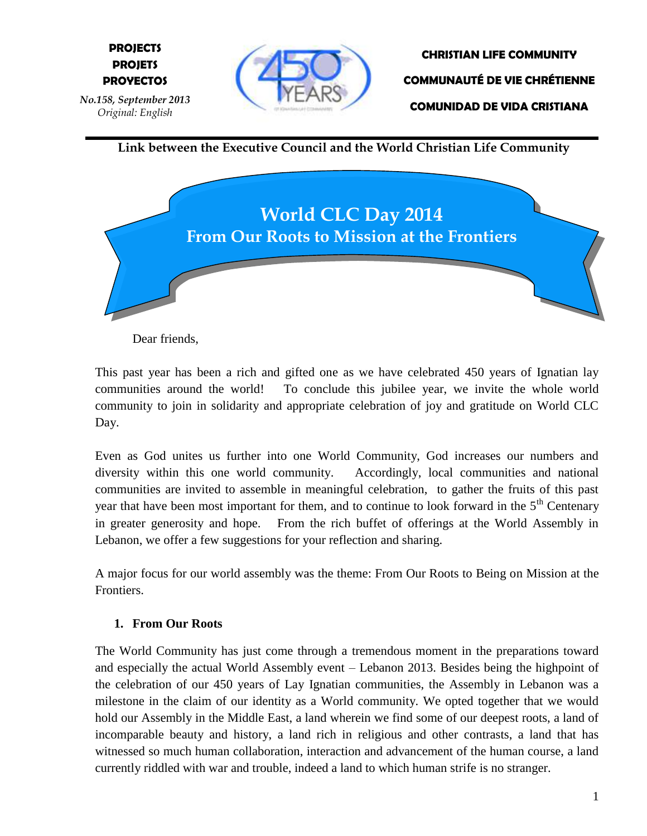

**CHRISTIAN LIFE COMMUNITY COMMUNAUTÉ DE VIE CHRÉTIENNE COMUNIDAD DE VIDA CRISTIANA**

**Link between the Executive Council and the World Christian Life Community**



Dear friends,

This past year has been a rich and gifted one as we have celebrated 450 years of Ignatian lay communities around the world! To conclude this jubilee year, we invite the whole world community to join in solidarity and appropriate celebration of joy and gratitude on World CLC Day.

Even as God unites us further into one World Community, God increases our numbers and diversity within this one world community. Accordingly, local communities and national communities are invited to assemble in meaningful celebration, to gather the fruits of this past year that have been most important for them, and to continue to look forward in the 5<sup>th</sup> Centenary in greater generosity and hope. From the rich buffet of offerings at the World Assembly in Lebanon, we offer a few suggestions for your reflection and sharing.

A major focus for our world assembly was the theme: From Our Roots to Being on Mission at the Frontiers.

## **1. From Our Roots**

The World Community has just come through a tremendous moment in the preparations toward and especially the actual World Assembly event – Lebanon 2013. Besides being the highpoint of the celebration of our 450 years of Lay Ignatian communities, the Assembly in Lebanon was a milestone in the claim of our identity as a World community. We opted together that we would hold our Assembly in the Middle East, a land wherein we find some of our deepest roots, a land of incomparable beauty and history, a land rich in religious and other contrasts, a land that has witnessed so much human collaboration, interaction and advancement of the human course, a land currently riddled with war and trouble, indeed a land to which human strife is no stranger.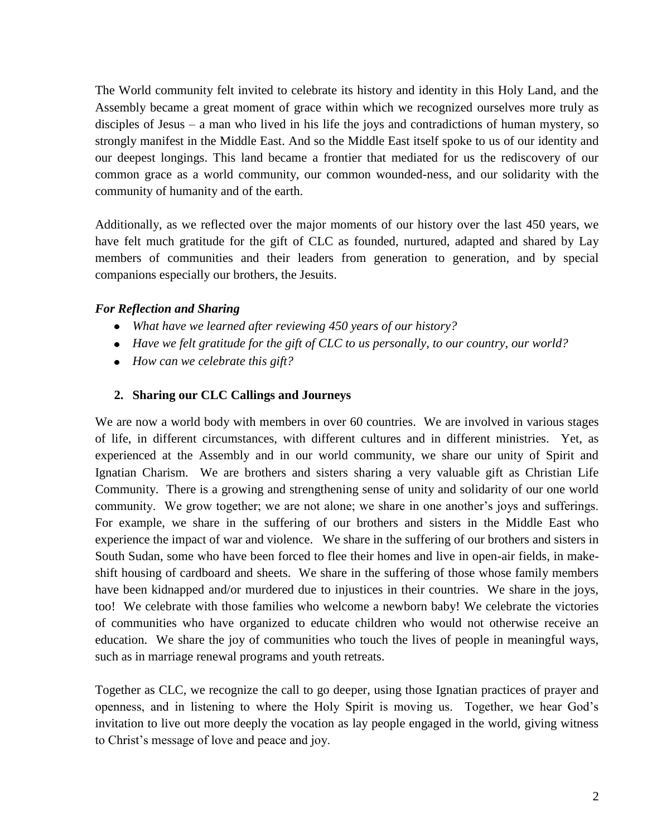The World community felt invited to celebrate its history and identity in this Holy Land, and the Assembly became a great moment of grace within which we recognized ourselves more truly as disciples of Jesus – a man who lived in his life the joys and contradictions of human mystery, so strongly manifest in the Middle East. And so the Middle East itself spoke to us of our identity and our deepest longings. This land became a frontier that mediated for us the rediscovery of our common grace as a world community, our common wounded-ness, and our solidarity with the community of humanity and of the earth.

Additionally, as we reflected over the major moments of our history over the last 450 years, we have felt much gratitude for the gift of CLC as founded, nurtured, adapted and shared by Lay members of communities and their leaders from generation to generation, and by special companions especially our brothers, the Jesuits.

### *For Reflection and Sharing*

- *What have we learned after reviewing 450 years of our history?*
- *Have we felt gratitude for the gift of CLC to us personally, to our country, our world?*
- *How can we celebrate this gift?*

#### **2. Sharing our CLC Callings and Journeys**

We are now a world body with members in over 60 countries. We are involved in various stages of life, in different circumstances, with different cultures and in different ministries. Yet, as experienced at the Assembly and in our world community, we share our unity of Spirit and Ignatian Charism. We are brothers and sisters sharing a very valuable gift as Christian Life Community. There is a growing and strengthening sense of unity and solidarity of our one world community. We grow together; we are not alone; we share in one another's joys and sufferings. For example, we share in the suffering of our brothers and sisters in the Middle East who experience the impact of war and violence. We share in the suffering of our brothers and sisters in South Sudan, some who have been forced to flee their homes and live in open-air fields, in makeshift housing of cardboard and sheets. We share in the suffering of those whose family members have been kidnapped and/or murdered due to injustices in their countries. We share in the joys, too! We celebrate with those families who welcome a newborn baby! We celebrate the victories of communities who have organized to educate children who would not otherwise receive an education. We share the joy of communities who touch the lives of people in meaningful ways, such as in marriage renewal programs and youth retreats.

Together as CLC, we recognize the call to go deeper, using those Ignatian practices of prayer and openness, and in listening to where the Holy Spirit is moving us. Together, we hear God's invitation to live out more deeply the vocation as lay people engaged in the world, giving witness to Christ's message of love and peace and joy.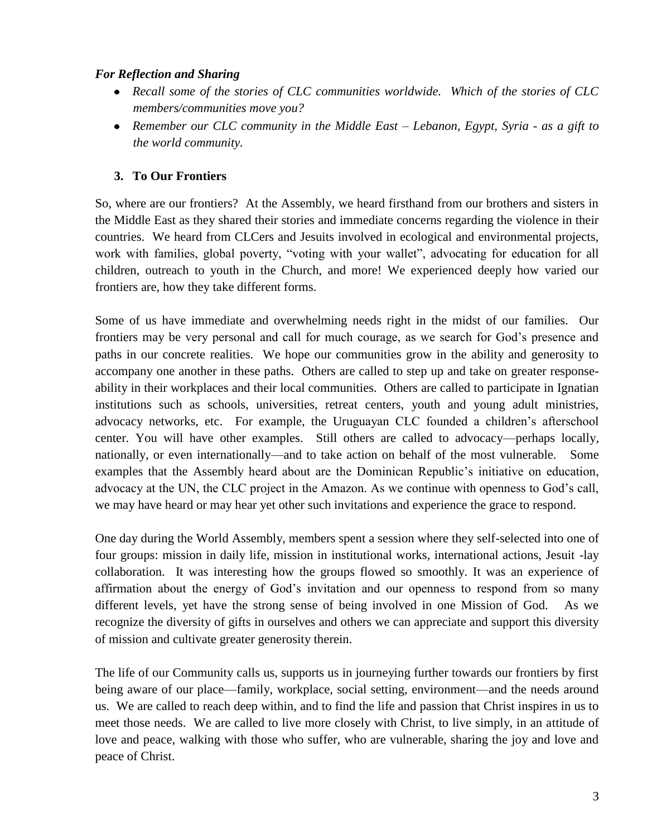### *For Reflection and Sharing*

- *Recall some of the stories of CLC communities worldwide. Which of the stories of CLC members/communities move you?*
- *Remember our CLC community in the Middle East – Lebanon, Egypt, Syria - as a gift to the world community.*

# **3. To Our Frontiers**

So, where are our frontiers? At the Assembly, we heard firsthand from our brothers and sisters in the Middle East as they shared their stories and immediate concerns regarding the violence in their countries. We heard from CLCers and Jesuits involved in ecological and environmental projects, work with families, global poverty, "voting with your wallet", advocating for education for all children, outreach to youth in the Church, and more! We experienced deeply how varied our frontiers are, how they take different forms.

Some of us have immediate and overwhelming needs right in the midst of our families. Our frontiers may be very personal and call for much courage, as we search for God's presence and paths in our concrete realities. We hope our communities grow in the ability and generosity to accompany one another in these paths. Others are called to step up and take on greater responseability in their workplaces and their local communities. Others are called to participate in Ignatian institutions such as schools, universities, retreat centers, youth and young adult ministries, advocacy networks, etc. For example, the Uruguayan CLC founded a children's afterschool center. You will have other examples. Still others are called to advocacy—perhaps locally, nationally, or even internationally—and to take action on behalf of the most vulnerable. Some examples that the Assembly heard about are the Dominican Republic's initiative on education, advocacy at the UN, the CLC project in the Amazon. As we continue with openness to God's call, we may have heard or may hear yet other such invitations and experience the grace to respond.

One day during the World Assembly, members spent a session where they self-selected into one of four groups: mission in daily life, mission in institutional works, international actions, Jesuit -lay collaboration. It was interesting how the groups flowed so smoothly. It was an experience of affirmation about the energy of God's invitation and our openness to respond from so many different levels, yet have the strong sense of being involved in one Mission of God. As we recognize the diversity of gifts in ourselves and others we can appreciate and support this diversity of mission and cultivate greater generosity therein.

The life of our Community calls us, supports us in journeying further towards our frontiers by first being aware of our place—family, workplace, social setting, environment—and the needs around us. We are called to reach deep within, and to find the life and passion that Christ inspires in us to meet those needs. We are called to live more closely with Christ, to live simply, in an attitude of love and peace, walking with those who suffer, who are vulnerable, sharing the joy and love and peace of Christ.